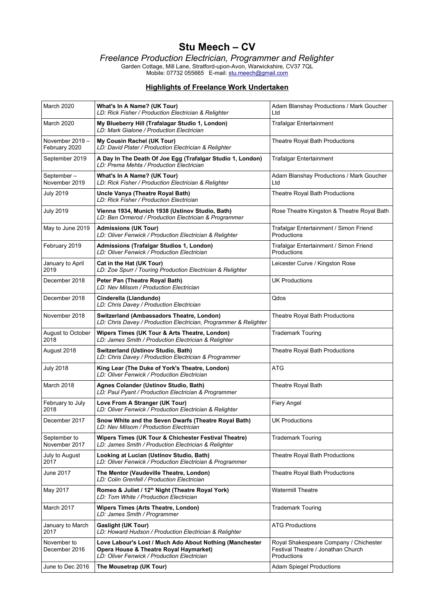# **Stu Meech – CV**

*Freelance Production Electrician, Programmer and Relighter*

Garden Cottage, Mill Lane, Stratford-upon-Avon, Warwickshire, CV37 7QL Mobile: 07732 055665 E-mail: [stu.meech@gmail.com](mailto:stu.meech@gmail.com)

#### **Highlights of Freelance Work Undertaken**

| March 2020                       | What's In A Name? (UK Tour)<br>LD: Rick Fisher / Production Electrician & Relighter                                                              | Adam Blanshay Productions / Mark Goucher<br>Ltd                                             |
|----------------------------------|--------------------------------------------------------------------------------------------------------------------------------------------------|---------------------------------------------------------------------------------------------|
| March 2020                       | My Blueberry Hill (Trafalagar Studio 1, London)<br>LD: Mark Gialone / Production Electrician                                                     | <b>Trafalgar Entertainment</b>                                                              |
| November 2019 -<br>February 2020 | My Cousin Rachel (UK Tour)<br>LD: David Plater / Production Electrician & Relighter                                                              | Theatre Royal Bath Productions                                                              |
| September 2019                   | A Day In The Death Of Joe Egg (Trafalgar Studio 1, London)<br>LD: Prema Mehta / Production Electrician                                           | <b>Trafalgar Entertainment</b>                                                              |
| September-<br>November 2019      | What's In A Name? (UK Tour)<br>LD: Rick Fisher / Production Electrician & Relighter                                                              | Adam Blanshay Productions / Mark Goucher<br>Ltd                                             |
| <b>July 2019</b>                 | Uncle Vanya (Theatre Royal Bath)<br>LD: Rick Fisher / Production Electrician                                                                     | Theatre Royal Bath Productions                                                              |
| <b>July 2019</b>                 | Vienna 1934, Munich 1938 (Ustinov Studio, Bath)<br>LD: Ben Ormerod / Production Electrician & Programmer                                         | Rose Theatre Kingston & Theatre Royal Bath                                                  |
| May to June 2019                 | <b>Admissions (UK Tour)</b><br>LD: Oliver Fenwick / Production Electrician & Relighter                                                           | Trafalgar Entertainment / Simon Friend<br>Productions                                       |
| February 2019                    | Admissions (Trafalgar Studios 1, London)<br>LD: Oliver Fenwick / Production Electrician                                                          | Trafalgar Entertainment / Simon Friend<br>Productions                                       |
| January to April<br>2019         | Cat in the Hat (UK Tour)<br>LD: Zoe Spurr / Touring Production Electrician & Relighter                                                           | Leicester Curve / Kingston Rose                                                             |
| December 2018                    | Peter Pan (Theatre Royal Bath)<br>LD: Nev Milsom / Production Electrician                                                                        | <b>UK Productions</b>                                                                       |
| December 2018                    | Cinderella (Llandundo)<br>LD: Chris Davey / Production Electrician                                                                               | Qdos                                                                                        |
| November 2018                    | Switzerland (Ambassadors Theatre, London)<br>LD: Chris Davey / Production Electrician, Programmer & Relighter                                    | Theatre Royal Bath Productions                                                              |
| August to October<br>2018        | Wipers Times (UK Tour & Arts Theatre, London)<br>LD: James Smith / Production Electrician & Relighter                                            | <b>Trademark Touring</b>                                                                    |
| August 2018                      | Switzerland (Ustinov Studio, Bath)<br>LD: Chris Davey / Production Electrician & Programmer                                                      | Theatre Royal Bath Productions                                                              |
| <b>July 2018</b>                 | King Lear (The Duke of York's Theatre, London)<br>LD: Oliver Fenwick / Production Electrician                                                    | <b>ATG</b>                                                                                  |
| March 2018                       | Agnes Colander (Ustinov Studio, Bath)<br>LD: Paul Pyant / Production Electrician & Programmer                                                    | Theatre Royal Bath                                                                          |
| February to July<br>2018         | Love From A Stranger (UK Tour)<br>LD: Oliver Fenwick / Production Electrician & Relighter                                                        | Fiery Angel                                                                                 |
| December 2017                    | Snow White and the Seven Dwarfs (Theatre Royal Bath)<br>LD: Nev Milsom / Production Electrician                                                  | <b>UK Productions</b>                                                                       |
| September to<br>November 2017    | Wipers Times (UK Tour & Chichester Festival Theatre)<br>LD: James Smith / Production Electrician & Relighter                                     | <b>Trademark Touring</b>                                                                    |
| July to August<br>2017           | Looking at Lucian (Ustinov Studio, Bath)<br>LD: Oliver Fenwick / Production Electrician & Programmer                                             | Theatre Royal Bath Productions                                                              |
| June 2017                        | The Mentor (Vaudeville Theatre, London)<br>LD: Colin Grenfell / Production Electrician                                                           | Theatre Royal Bath Productions                                                              |
| May 2017                         | Romeo & Juliet / 12th Night (Theatre Royal York)<br>LD: Tom White / Production Electrician                                                       | <b>Watermill Theatre</b>                                                                    |
| March 2017                       | <b>Wipers Times (Arts Theatre, London)</b><br>LD: James Smith / Programmer                                                                       | <b>Trademark Touring</b>                                                                    |
| January to March<br>2017         | <b>Gaslight (UK Tour)</b><br>LD: Howard Hudson / Production Electrician & Relighter                                                              | <b>ATG Productions</b>                                                                      |
| November to<br>December 2016     | Love Labour's Lost / Much Ado About Nothing (Manchester<br>Opera House & Theatre Royal Haymarket)<br>LD: Oliver Fenwick / Production Electrician | Royal Shakespeare Company / Chichester<br>Festival Theatre / Jonathan Church<br>Productions |
| June to Dec 2016                 | The Mousetrap (UK Tour)                                                                                                                          | <b>Adam Spiegel Productions</b>                                                             |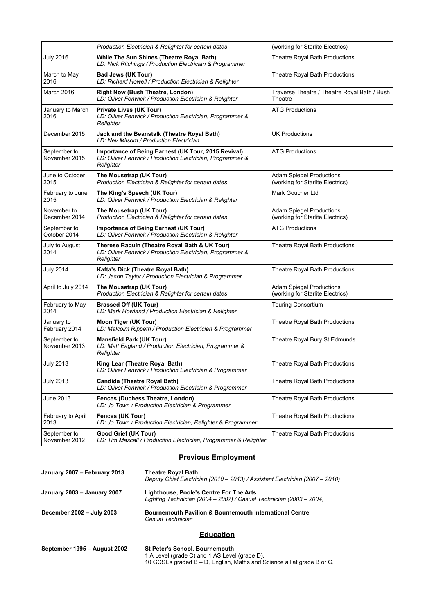|                               | Production Electrician & Relighter for certain dates                                                                          | (working for Starlite Electrics)                                    |
|-------------------------------|-------------------------------------------------------------------------------------------------------------------------------|---------------------------------------------------------------------|
| <b>July 2016</b>              | While The Sun Shines (Theatre Royal Bath)<br>LD: Nick Ritchings / Production Electrician & Programmer                         | Theatre Royal Bath Productions                                      |
| March to May<br>2016          | <b>Bad Jews (UK Tour)</b><br>LD: Richard Howell / Production Electrician & Relighter                                          | Theatre Royal Bath Productions                                      |
| March 2016                    | <b>Right Now (Bush Theatre, London)</b><br>LD: Oliver Fenwick / Production Electrician & Relighter                            | Traverse Theatre / Theatre Royal Bath / Bush<br>Theatre             |
| January to March<br>2016      | <b>Private Lives (UK Tour)</b><br>LD: Oliver Fenwick / Production Electrician, Programmer &<br>Relighter                      | <b>ATG Productions</b>                                              |
| December 2015                 | Jack and the Beanstalk (Theatre Royal Bath)<br>LD: Nev Milsom / Production Electrician                                        | UK Productions                                                      |
| September to<br>November 2015 | Importance of Being Earnest (UK Tour, 2015 Revival)<br>LD: Oliver Fenwick / Production Electrician, Programmer &<br>Relighter | <b>ATG Productions</b>                                              |
| June to October<br>2015       | The Mousetrap (UK Tour)<br>Production Electrician & Relighter for certain dates                                               | <b>Adam Spiegel Productions</b><br>(working for Starlite Electrics) |
| February to June<br>2015      | The King's Speech (UK Tour)<br>LD: Oliver Fenwick / Production Electrician & Relighter                                        | Mark Goucher Ltd                                                    |
| November to<br>December 2014  | The Mousetrap (UK Tour)<br>Production Electrician & Relighter for certain dates                                               | <b>Adam Spiegel Productions</b><br>(working for Starlite Electrics) |
| September to<br>October 2014  | Importance of Being Earnest (UK Tour)<br>LD: Oliver Fenwick / Production Electrician & Relighter                              | ATG Productions                                                     |
| July to August<br>2014        | Therese Raquin (Theatre Royal Bath & UK Tour)<br>LD: Oliver Fenwick / Production Electrician, Programmer &<br>Relighter       | Theatre Royal Bath Productions                                      |
| <b>July 2014</b>              | Kafta's Dick (Theatre Royal Bath)<br>LD: Jason Taylor / Production Electrician & Programmer                                   | Theatre Royal Bath Productions                                      |
| April to July 2014            | The Mousetrap (UK Tour)<br>Production Electrician & Relighter for certain dates                                               | <b>Adam Spiegel Productions</b><br>(working for Starlite Electrics) |
| February to May<br>2014       | <b>Brassed Off (UK Tour)</b><br>LD: Mark Howland / Production Electrician & Relighter                                         | <b>Touring Consortium</b>                                           |
| January to<br>February 2014   | Moon Tiger (UK Tour)<br>LD: Malcolm Rippeth / Production Electrician & Programmer                                             | Theatre Royal Bath Productions                                      |
| September to<br>November 2013 | <b>Mansfield Park (UK Tour)</b><br>LD: Matt Eagland / Production Electrician, Programmer &<br>Relighter                       | Theatre Royal Bury St Edmunds                                       |
| <b>July 2013</b>              | King Lear (Theatre Royal Bath)<br>LD: Oliver Fenwick / Production Electrician & Programmer                                    | <b>Theatre Royal Bath Productions</b>                               |
| <b>July 2013</b>              | <b>Candida (Theatre Royal Bath)</b><br>LD: Oliver Fenwick / Production Electrician & Programmer                               | Theatre Royal Bath Productions                                      |
| June 2013                     | Fences (Duchess Theatre, London)<br>LD: Jo Town / Production Electrician & Programmer                                         | <b>Theatre Royal Bath Productions</b>                               |
| February to April<br>2013     | Fences (UK Tour)<br>LD: Jo Town / Production Electrician, Relighter & Programmer                                              | Theatre Royal Bath Productions                                      |
| September to<br>November 2012 | Good Grief (UK Tour)<br>LD: Tim Mascall / Production Electrician, Programmer & Relighter                                      | Theatre Royal Bath Productions                                      |

## **Previous Employment**

| January 2007 - February 2013 | <b>Theatre Royal Bath</b><br>Deputy Chief Electrician (2010 - 2013) / Assistant Electrician (2007 - 2010)      |
|------------------------------|----------------------------------------------------------------------------------------------------------------|
| January 2003 - January 2007  | Lighthouse, Poole's Centre For The Arts<br>Lighting Technician (2004 – 2007) / Casual Technician (2003 – 2004) |
| December 2002 - July 2003    | <b>Bournemouth Pavilion &amp; Bournemouth International Centre</b><br>Casual Technician                        |
|                              | <b>Education</b>                                                                                               |

| September 1995 - August 2002 | St Peter's School, Bournemouth                                            |  |
|------------------------------|---------------------------------------------------------------------------|--|
|                              | 1 A Level (grade C) and 1 AS Level (grade D).                             |  |
|                              | 10 GCSEs graded $B - D$ , English, Maths and Science all at grade B or C. |  |